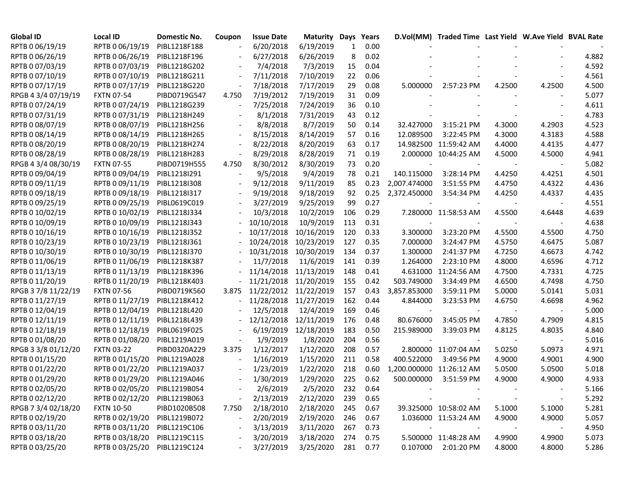| <b>Global ID</b>    | Local ID          | Domestic No. | Coupon | <b>Issue Date</b> | Maturity   | Days | Years |                          | D.Vol(MM) Traded Time Last Yield W.Ave Yield BVAL Rate |        |        |       |
|---------------------|-------------------|--------------|--------|-------------------|------------|------|-------|--------------------------|--------------------------------------------------------|--------|--------|-------|
| RPTB 0 06/19/19     | RPTB 0 06/19/19   | PIBL1218F188 |        | 6/20/2018         | 6/19/2019  | 1    | 0.00  |                          |                                                        |        |        |       |
| RPTB 0 06/26/19     | RPTB 0 06/26/19   | PIBL1218F196 |        | 6/27/2018         | 6/26/2019  | 8    | 0.02  |                          |                                                        |        |        | 4.882 |
| RPTB 0 07/03/19     | RPTB 0 07/03/19   | PIBL1218G202 |        | 7/4/2018          | 7/3/2019   | 15   | 0.04  |                          |                                                        |        |        | 4.592 |
| RPTB 0 07/10/19     | RPTB 0 07/10/19   | PIBL1218G211 |        | 7/11/2018         | 7/10/2019  | 22   | 0.06  |                          |                                                        |        |        | 4.561 |
| RPTB 0 07/17/19     | RPTB 0 07/17/19   | PIBL1218G220 |        | 7/18/2018         | 7/17/2019  | 29   | 0.08  | 5.000000                 | 2:57:23 PM                                             | 4.2500 | 4.2500 | 4.500 |
| RPGB 4 3/4 07/19/19 | <b>FXTN 07-54</b> | PIBD0719G547 | 4.750  | 7/19/2012         | 7/19/2019  | 31   | 0.09  |                          |                                                        |        |        | 5.077 |
| RPTB 0 07/24/19     | RPTB 0 07/24/19   | PIBL1218G239 |        | 7/25/2018         | 7/24/2019  | 36   | 0.10  |                          |                                                        |        |        | 4.611 |
| RPTB 0 07/31/19     | RPTB 0 07/31/19   | PIBL1218H249 |        | 8/1/2018          | 7/31/2019  | 43   | 0.12  |                          |                                                        |        |        | 4.783 |
| RPTB 0 08/07/19     | RPTB 0 08/07/19   | PIBL1218H256 |        | 8/8/2018          | 8/7/2019   | 50   | 0.14  | 32.427000                | 3:15:21 PM                                             | 4.3000 | 4.2903 | 4.523 |
| RPTB 0 08/14/19     | RPTB 0 08/14/19   | PIBL1218H265 |        | 8/15/2018         | 8/14/2019  | 57   | 0.16  | 12.089500                | 3:22:45 PM                                             | 4.3000 | 4.3183 | 4.588 |
| RPTB 0 08/20/19     | RPTB 0 08/20/19   | PIBL1218H274 |        | 8/22/2018         | 8/20/2019  | 63   | 0.17  |                          | 14.982500 11:59:42 AM                                  | 4.4000 | 4.4135 | 4.477 |
| RPTB 0 08/28/19     | RPTB 0 08/28/19   | PIBL1218H283 |        | 8/29/2018         | 8/28/2019  | 71   | 0.19  |                          | 2.000000 10:44:25 AM                                   | 4.5000 | 4.5000 | 4.941 |
| RPGB 4 3/4 08/30/19 | <b>FXTN 07-55</b> | PIBD0719H555 | 4.750  | 8/30/2012         | 8/30/2019  | 73   | 0.20  |                          |                                                        |        |        | 5.082 |
| RPTB 0 09/04/19     | RPTB 0 09/04/19   | PIBL1218I291 |        | 9/5/2018          | 9/4/2019   | 78   | 0.21  | 140.115000               | 3:28:14 PM                                             | 4.4250 | 4.4251 | 4.501 |
| RPTB 0 09/11/19     | RPTB 0 09/11/19   | PIBL1218I308 |        | 9/12/2018         | 9/11/2019  | 85   | 0.23  | 2,007.474000             | 3:51:55 PM                                             | 4.4750 | 4.4322 | 4.436 |
| RPTB 0 09/18/19     | RPTB 0 09/18/19   | PIBL1218I317 |        | 9/19/2018         | 9/18/2019  | 92   | 0.25  | 2,372.450000             | 3:54:34 PM                                             | 4.4250 | 4.4337 | 4.435 |
| RPTB 0 09/25/19     | RPTB 0 09/25/19   | PIBL0619C019 |        | 3/27/2019         | 9/25/2019  | 99   | 0.27  |                          |                                                        |        |        | 4.551 |
| RPTB 0 10/02/19     | RPTB 0 10/02/19   | PIBL1218J334 |        | 10/3/2018         | 10/2/2019  | 106  | 0.29  |                          | 7.280000 11:58:53 AM                                   | 4.5500 | 4.6448 | 4.639 |
| RPTB 0 10/09/19     | RPTB 0 10/09/19   | PIBL1218J343 |        | 10/10/2018        | 10/9/2019  | 113  | 0.31  |                          |                                                        |        |        | 4.638 |
| RPTB 0 10/16/19     | RPTB 0 10/16/19   | PIBL1218J352 |        | 10/17/2018        | 10/16/2019 | 120  | 0.33  | 3.300000                 | 3:23:20 PM                                             | 4.5500 | 4.5500 | 4.750 |
| RPTB 0 10/23/19     | RPTB 0 10/23/19   | PIBL1218J361 |        | 10/24/2018        | 10/23/2019 | 127  | 0.35  | 7.000000                 | 3:24:47 PM                                             | 4.5750 | 4.6475 | 5.087 |
| RPTB 0 10/30/19     | RPTB 0 10/30/19   | PIBL1218J370 |        | 10/31/2018        | 10/30/2019 | 134  | 0.37  | 1.300000                 | 2:41:37 PM                                             | 4.7250 | 4.6673 | 4.742 |
| RPTB 0 11/06/19     | RPTB 0 11/06/19   | PIBL1218K387 |        | 11/7/2018         | 11/6/2019  | 141  | 0.39  | 1.264000                 | 2:23:10 PM                                             | 4.8000 | 4.6596 | 4.712 |
| RPTB 0 11/13/19     | RPTB 0 11/13/19   | PIBL1218K396 |        | 11/14/2018        | 11/13/2019 | 148  | 0.41  | 4.631000                 | 11:24:56 AM                                            | 4.7500 | 4.7331 | 4.725 |
| RPTB 0 11/20/19     | RPTB 0 11/20/19   | PIBL1218K403 |        | 11/21/2018        | 11/20/2019 | 155  | 0.42  | 503.749000               | 3:34:49 PM                                             | 4.6500 | 4.7498 | 4.750 |
| RPGB 37/8 11/22/19  | <b>FXTN 07-56</b> | PIBD0719K560 | 3.875  | 11/22/2012        | 11/22/2019 | 157  | 0.43  | 3,857.853000             | 3:59:11 PM                                             | 5.0000 | 5.0141 | 5.031 |
| RPTB 0 11/27/19     | RPTB 0 11/27/19   | PIBL1218K412 |        | 11/28/2018        | 11/27/2019 | 162  | 0.44  | 4.844000                 | 3:23:53 PM                                             | 4.6750 | 4.6698 | 4.962 |
| RPTB 0 12/04/19     | RPTB 0 12/04/19   | PIBL1218L420 |        | 12/5/2018         | 12/4/2019  | 169  | 0.46  |                          |                                                        |        |        | 5.000 |
| RPTB 0 12/11/19     | RPTB 0 12/11/19   | PIBL1218L439 |        | 12/12/2018        | 12/11/2019 | 176  | 0.48  | 80.676000                | 3:45:05 PM                                             | 4.7850 | 4.7909 | 4.815 |
| RPTB 0 12/18/19     | RPTB 0 12/18/19   | PIBL0619F025 |        | 6/19/2019         | 12/18/2019 | 183  | 0.50  | 215.989000               | 3:39:03 PM                                             | 4.8125 | 4.8035 | 4.840 |
| RPTB 0 01/08/20     | RPTB 0 01/08/20   | PIBL1219A019 |        | 1/9/2019          | 1/8/2020   | 204  | 0.56  |                          |                                                        |        |        | 5.016 |
| RPGB 3 3/8 01/12/20 | <b>FXTN 03-22</b> | PIBD0320A229 | 3.375  | 1/12/2017         | 1/12/2020  | 208  | 0.57  |                          | 2.800000 11:07:04 AM                                   | 5.0250 | 5.0973 | 4.971 |
| RPTB 0 01/15/20     | RPTB 0 01/15/20   | PIBL1219A028 |        | 1/16/2019         | 1/15/2020  | 211  | 0.58  | 400.522000               | 3:49:56 PM                                             | 4.9000 | 4.9001 | 4.900 |
| RPTB 0 01/22/20     | RPTB 0 01/22/20   | PIBL1219A037 |        | 1/23/2019         | 1/22/2020  | 218  | 0.60  | 1,200.000000 11:26:12 AM |                                                        | 5.0500 | 5.0500 | 5.018 |
| RPTB 0 01/29/20     | RPTB 0 01/29/20   | PIBL1219A046 |        | 1/30/2019         | 1/29/2020  | 225  | 0.62  | 500.000000               | 3:51:59 PM                                             | 4.9000 | 4.9000 | 4.933 |
| RPTB 0 02/05/20     | RPTB 0 02/05/20   | PIBL1219B054 |        | 2/6/2019          | 2/5/2020   | 232  | 0.64  |                          |                                                        |        |        | 5.166 |
| RPTB 0 02/12/20     | RPTB 0 02/12/20   | PIBL1219B063 |        | 2/13/2019         | 2/12/2020  | 239  | 0.65  |                          |                                                        |        |        | 5.292 |
| RPGB 7 3/4 02/18/20 | <b>FXTN 10-50</b> | PIBD1020B508 | 7.750  | 2/18/2010         | 2/18/2020  | 245  | 0.67  |                          | 39.325000 10:58:02 AM                                  | 5.1000 | 5.1000 | 5.281 |
| RPTB 0 02/19/20     | RPTB 0 02/19/20   | PIBL1219B072 |        | 2/20/2019         | 2/19/2020  | 246  | 0.67  |                          | 1.036000 11:53:24 AM                                   | 4.9000 | 4.9000 | 5.057 |
| RPTB 0 03/11/20     | RPTB 0 03/11/20   | PIBL1219C106 |        | 3/13/2019         | 3/11/2020  | 267  | 0.73  | $\overline{\phantom{a}}$ |                                                        |        |        | 4.950 |
| RPTB 0 03/18/20     | RPTB 0 03/18/20   | PIBL1219C115 |        | 3/20/2019         | 3/18/2020  | 274  | 0.75  |                          | 5.500000 11:48:28 AM                                   | 4.9900 | 4.9900 | 5.073 |
| RPTB 0 03/25/20     | RPTB 0 03/25/20   | PIBL1219C124 |        | 3/27/2019         | 3/25/2020  | 281  | 0.77  |                          | 0.107000 2:01:20 PM                                    | 4.8000 | 4.8000 | 5.286 |
|                     |                   |              |        |                   |            |      |       |                          |                                                        |        |        |       |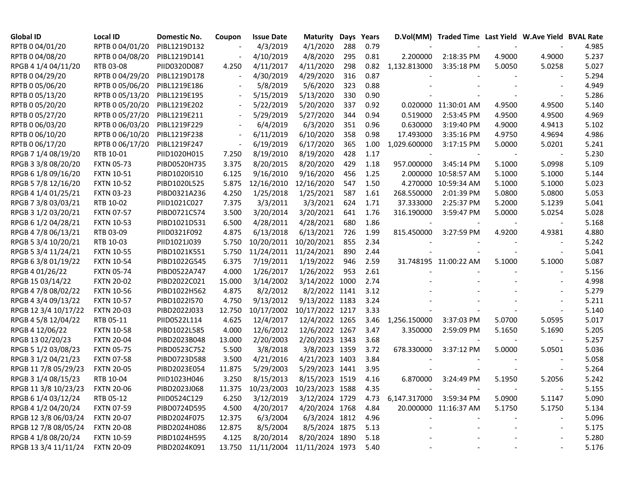| <b>Global ID</b>     | Local ID          | Domestic No. | Coupon | <b>Issue Date</b> | <b>Maturity</b>                   | Days | Years |                              | D.Vol(MM) Traded Time Last Yield W.Ave Yield BVAL Rate |        |                          |       |
|----------------------|-------------------|--------------|--------|-------------------|-----------------------------------|------|-------|------------------------------|--------------------------------------------------------|--------|--------------------------|-------|
| RPTB 0 04/01/20      | RPTB 0 04/01/20   | PIBL1219D132 |        | 4/3/2019          | 4/1/2020                          | 288  | 0.79  |                              |                                                        |        |                          | 4.985 |
| RPTB 0 04/08/20      | RPTB 0 04/08/20   | PIBL1219D141 |        | 4/10/2019         | 4/8/2020                          | 295  | 0.81  | 2.200000                     | 2:18:35 PM                                             | 4.9000 | 4.9000                   | 5.237 |
| RPGB 4 1/4 04/11/20  | RTB 03-08         | PIID0320D087 | 4.250  | 4/11/2017         | 4/11/2020                         | 298  | 0.82  | 1,132.813000                 | 3:35:18 PM                                             | 5.0050 | 5.0258                   | 5.027 |
| RPTB 0 04/29/20      | RPTB 0 04/29/20   | PIBL1219D178 |        | 4/30/2019         | 4/29/2020                         | 316  | 0.87  |                              |                                                        |        |                          | 5.294 |
| RPTB 0 05/06/20      | RPTB 0 05/06/20   | PIBL1219E186 |        | 5/8/2019          | 5/6/2020                          | 323  | 0.88  |                              |                                                        |        |                          | 4.949 |
| RPTB 0 05/13/20      | RPTB 0 05/13/20   | PIBL1219E195 |        | 5/15/2019         | 5/13/2020                         | 330  | 0.90  |                              |                                                        |        |                          | 5.286 |
| RPTB 0 05/20/20      | RPTB 0 05/20/20   | PIBL1219E202 |        | 5/22/2019         | 5/20/2020                         | 337  | 0.92  |                              | 0.020000 11:30:01 AM                                   | 4.9500 | 4.9500                   | 5.140 |
| RPTB 0 05/27/20      | RPTB 0 05/27/20   | PIBL1219E211 |        | 5/29/2019         | 5/27/2020                         | 344  | 0.94  | 0.519000                     | 2:53:45 PM                                             | 4.9500 | 4.9500                   | 4.969 |
| RPTB 0 06/03/20      | RPTB 0 06/03/20   | PIBL1219F229 |        | 6/4/2019          | 6/3/2020                          | 351  | 0.96  | 0.630000                     | 3:19:40 PM                                             | 4.9000 | 4.9413                   | 5.102 |
| RPTB 0 06/10/20      | RPTB 0 06/10/20   | PIBL1219F238 |        | 6/11/2019         | 6/10/2020                         | 358  | 0.98  | 17.493000                    | 3:35:16 PM                                             | 4.9750 | 4.9694                   | 4.986 |
| RPTB 0 06/17/20      | RPTB 0 06/17/20   | PIBL1219F247 |        | 6/19/2019         | 6/17/2020                         | 365  | 1.00  | 1,029.600000                 | 3:17:15 PM                                             | 5.0000 | 5.0201                   | 5.241 |
| RPGB 7 1/4 08/19/20  | RTB 10-01         | PIID1020H015 | 7.250  | 8/19/2010         | 8/19/2020                         | 428  | 1.17  |                              |                                                        |        |                          | 5.230 |
| RPGB 3 3/8 08/20/20  | <b>FXTN 05-73</b> | PIBD0520H735 | 3.375  | 8/20/2015         | 8/20/2020                         | 429  | 1.18  | 957.000000                   | 3:45:14 PM                                             | 5.1000 | 5.0998                   | 5.109 |
| RPGB 6 1/8 09/16/20  | <b>FXTN 10-51</b> | PIBD1020I510 | 6.125  | 9/16/2010         | 9/16/2020                         | 456  | 1.25  | 2.000000                     | 10:58:57 AM                                            | 5.1000 | 5.1000                   | 5.144 |
| RPGB 5 7/8 12/16/20  | <b>FXTN 10-52</b> | PIBD1020L525 | 5.875  | 12/16/2010        | 12/16/2020                        | 547  | 1.50  |                              | 4.270000 10:59:34 AM                                   | 5.1000 | 5.1000                   | 5.023 |
| RPGB 4 1/4 01/25/21  | <b>FXTN 03-23</b> | PIBD0321A236 | 4.250  | 1/25/2018         | 1/25/2021                         | 587  | 1.61  | 268.550000                   | 2:01:39 PM                                             | 5.0800 | 5.0800                   | 5.053 |
| RPGB 7 3/8 03/03/21  | RTB 10-02         | PIID1021C027 | 7.375  | 3/3/2011          | 3/3/2021                          | 624  | 1.71  | 37.333000                    | 2:25:37 PM                                             | 5.2000 | 5.1239                   | 5.041 |
| RPGB 3 1/2 03/20/21  | <b>FXTN 07-57</b> | PIBD0721C574 | 3.500  | 3/20/2014         | 3/20/2021                         | 641  | 1.76  | 316.190000                   | 3:59:47 PM                                             | 5.0000 | 5.0254                   | 5.028 |
| RPGB 6 1/2 04/28/21  | <b>FXTN 10-53</b> | PIBD1021D531 | 6.500  | 4/28/2011         | 4/28/2021                         | 680  | 1.86  |                              |                                                        |        |                          | 5.168 |
| RPGB 4 7/8 06/13/21  | RTB 03-09         | PIID0321F092 | 4.875  | 6/13/2018         | 6/13/2021                         | 726  | 1.99  | 815.450000                   | 3:27:59 PM                                             | 4.9200 | 4.9381                   | 4.880 |
| RPGB 5 3/4 10/20/21  | RTB 10-03         | PIID1021J039 | 5.750  | 10/20/2011        | 10/20/2021                        | 855  | 2.34  |                              |                                                        |        |                          | 5.242 |
| RPGB 5 3/4 11/24/21  | <b>FXTN 10-55</b> | PIBD1021K551 | 5.750  | 11/24/2011        | 11/24/2021                        | 890  | 2.44  |                              |                                                        |        |                          | 5.041 |
| RPGB 63/8 01/19/22   | <b>FXTN 10-54</b> | PIBD1022G545 | 6.375  | 7/19/2011         | 1/19/2022                         | 946  | 2.59  |                              | 31.748195 11:00:22 AM                                  | 5.1000 | 5.1000                   | 5.087 |
| RPGB 4 01/26/22      | <b>FXTN 05-74</b> | PIBD0522A747 | 4.000  | 1/26/2017         | 1/26/2022                         | 953  | 2.61  |                              |                                                        |        |                          | 5.156 |
| RPGB 15 03/14/22     | <b>FXTN 20-02</b> | PIBD2022C021 | 15.000 | 3/14/2002         | 3/14/2022                         | 1000 | 2.74  |                              |                                                        |        |                          | 4.998 |
| RPGB 4 7/8 08/02/22  | <b>FXTN 10-56</b> | PIBD1022H562 | 4.875  | 8/2/2012          | 8/2/2022 1141                     |      | 3.12  |                              |                                                        |        |                          | 5.279 |
| RPGB 4 3/4 09/13/22  | <b>FXTN 10-57</b> | PIBD1022I570 | 4.750  | 9/13/2012         | 9/13/2022 1183                    |      | 3.24  |                              |                                                        |        |                          | 5.211 |
| RPGB 12 3/4 10/17/22 | <b>FXTN 20-03</b> | PIBD2022J033 | 12.750 | 10/17/2002        | 10/17/2022 1217                   |      | 3.33  |                              |                                                        |        |                          | 5.140 |
| RPGB 4 5/8 12/04/22  | RTB 05-11         | PIID0522L114 | 4.625  | 12/4/2017         | 12/4/2022 1265                    |      | 3.46  | 1,256.150000                 | 3:37:03 PM                                             | 5.0700 | 5.0595                   | 5.017 |
| RPGB 4 12/06/22      | <b>FXTN 10-58</b> | PIBD1022L585 | 4.000  | 12/6/2012         | 12/6/2022 1267                    |      | 3.47  | 3.350000                     | 2:59:09 PM                                             | 5.1650 | 5.1690                   | 5.205 |
| RPGB 13 02/20/23     | <b>FXTN 20-04</b> | PIBD2023B048 | 13.000 | 2/20/2003         | 2/20/2023 1343                    |      | 3.68  |                              |                                                        |        |                          | 5.257 |
| RPGB 5 1/2 03/08/23  | <b>FXTN 05-75</b> | PIBD0523C752 | 5.500  | 3/8/2018          | 3/8/2023 1359                     |      | 3.72  | 678.330000                   | 3:37:12 PM                                             | 5.0000 | 5.0501                   | 5.036 |
| RPGB 3 1/2 04/21/23  | <b>FXTN 07-58</b> | PIBD0723D588 | 3.500  | 4/21/2016         | 4/21/2023 1403                    |      | 3.84  |                              |                                                        |        |                          | 5.058 |
| RPGB 11 7/8 05/29/23 | <b>FXTN 20-05</b> | PIBD2023E054 | 11.875 | 5/29/2003         | 5/29/2023 1441                    |      | 3.95  |                              |                                                        |        |                          | 5.264 |
| RPGB 3 1/4 08/15/23  | RTB 10-04         | PIID1023H046 | 3.250  | 8/15/2013         | 8/15/2023 1519                    |      | 4.16  | 6.870000                     | 3:24:49 PM                                             | 5.1950 | 5.2056                   | 5.242 |
| RPGB 11 3/8 10/23/23 | <b>FXTN 20-06</b> | PIBD2023J068 | 11.375 |                   | 10/23/2003 10/23/2023 1588        |      | 4.35  |                              |                                                        |        |                          | 5.155 |
| RPGB 6 1/4 03/12/24  | RTB 05-12         | PIID0524C129 | 6.250  | 3/12/2019         | 3/12/2024 1729                    |      |       | 4.73 6,147.317000 3:59:34 PM |                                                        | 5.0900 | 5.1147                   | 5.090 |
| RPGB 4 1/2 04/20/24  | <b>FXTN 07-59</b> | PIBD0724D595 | 4.500  | 4/20/2017         | 4/20/2024 1768                    |      | 4.84  |                              | 20.000000 11:16:37 AM                                  | 5.1750 | 5.1750                   | 5.134 |
| RPGB 12 3/8 06/03/24 | <b>FXTN 20-07</b> | PIBD2024F075 | 12.375 | 6/3/2004          | 6/3/2024 1812                     |      | 4.96  |                              |                                                        |        | $\overline{\phantom{a}}$ | 5.096 |
| RPGB 12 7/8 08/05/24 | <b>FXTN 20-08</b> | PIBD2024H086 | 12.875 | 8/5/2004          | 8/5/2024 1875                     |      | 5.13  |                              |                                                        |        | $\overline{\phantom{a}}$ | 5.175 |
| RPGB 4 1/8 08/20/24  | <b>FXTN 10-59</b> | PIBD1024H595 | 4.125  | 8/20/2014         | 8/20/2024 1890                    |      | 5.18  |                              |                                                        |        |                          | 5.280 |
| RPGB 13 3/4 11/11/24 | <b>FXTN 20-09</b> | PIBD2024K091 |        |                   | 13.750 11/11/2004 11/11/2024 1973 |      | 5.40  |                              |                                                        |        |                          | 5.176 |